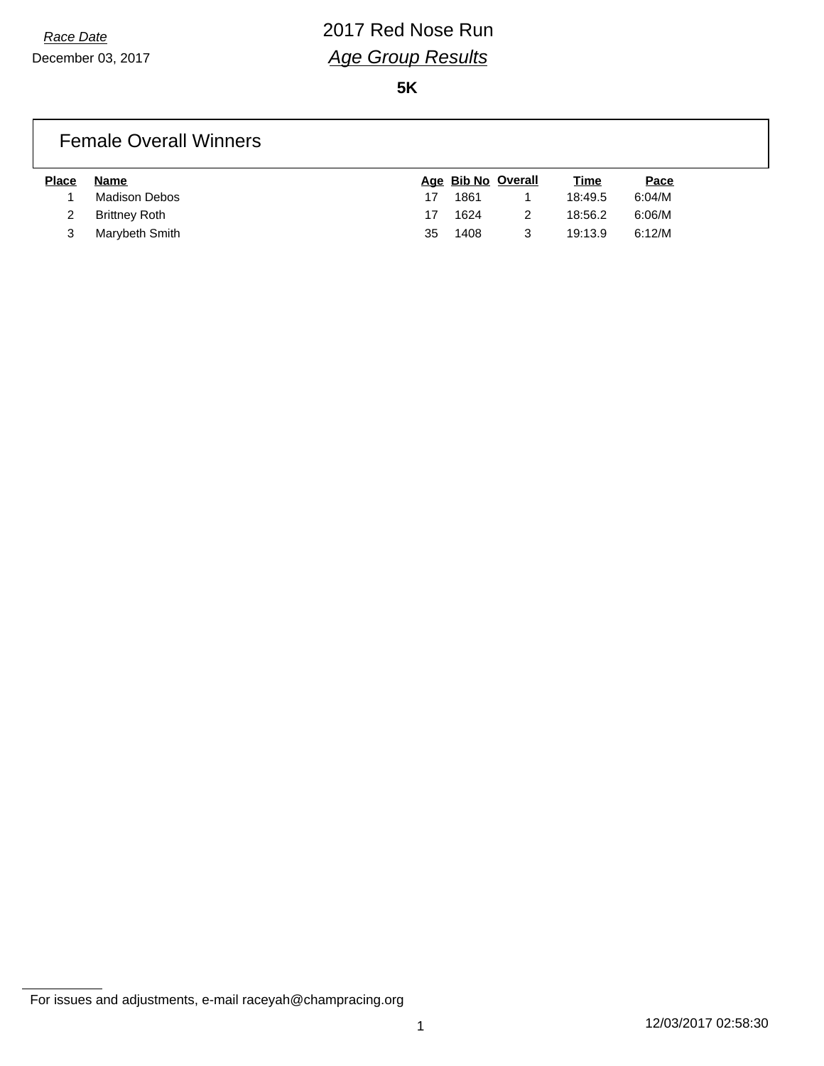**5K**

#### Female Overall Winners

| <b>Place</b> | Name           |    | Age Bib No Overall | <u>Time</u> | <u>Pace</u> |
|--------------|----------------|----|--------------------|-------------|-------------|
|              | Madison Debos  | 17 | 1861               | 18:49.5     | 6:04/M      |
|              | Brittney Roth  | 17 | 1624               | 18:56.2     | 6:06/M      |
|              | Marybeth Smith | 35 | 1408               | 19:13.9     | 6:12/M      |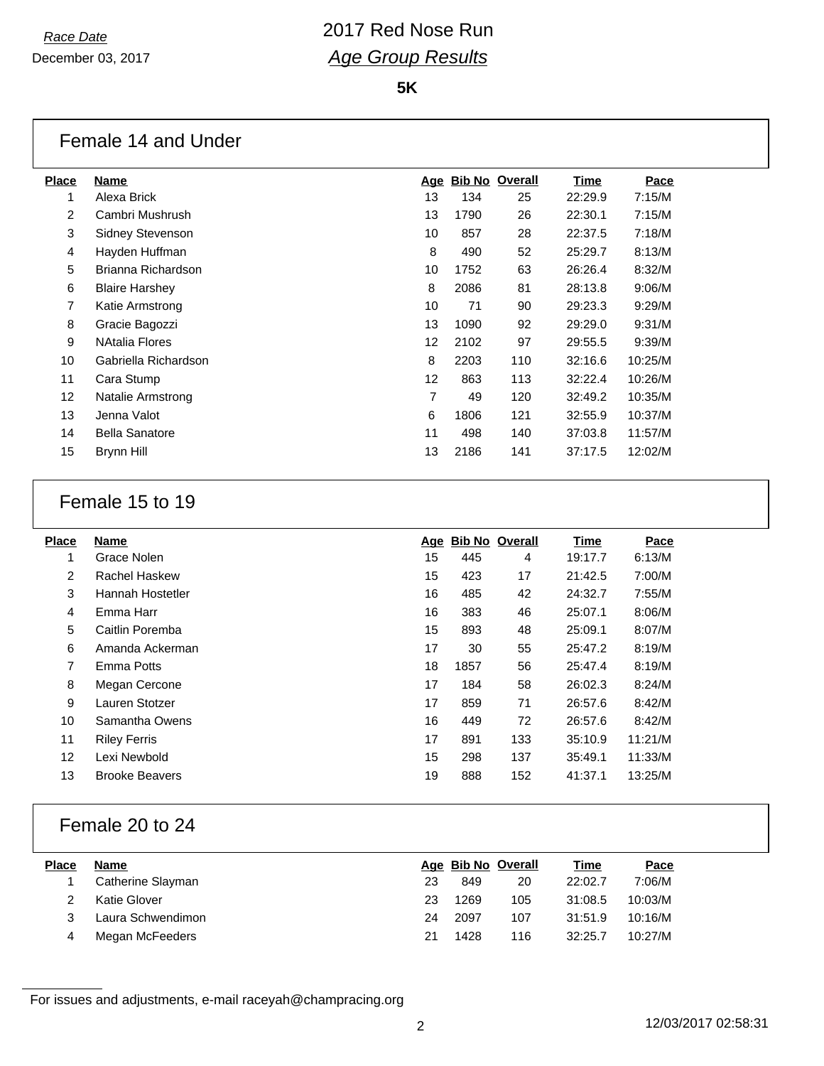**5K**

#### Female 14 and Under

| Place          | Name                  |                   | Age Bib No Overall |     | Time    | Pace    |
|----------------|-----------------------|-------------------|--------------------|-----|---------|---------|
|                | Alexa Brick           | 13                | 134                | 25  | 22:29.9 | 7:15/M  |
| $\overline{2}$ | Cambri Mushrush       | 13                | 1790               | 26  | 22:30.1 | 7:15/M  |
| 3              | Sidney Stevenson      | 10                | 857                | 28  | 22:37.5 | 7:18/M  |
| 4              | Hayden Huffman        | 8                 | 490                | 52  | 25:29.7 | 8:13/M  |
| 5              | Brianna Richardson    | 10                | 1752               | 63  | 26:26.4 | 8:32/M  |
| 6              | <b>Blaire Harshey</b> | 8                 | 2086               | 81  | 28:13.8 | 9:06/M  |
| 7              | Katie Armstrong       | 10                | 71                 | 90  | 29:23.3 | 9:29/M  |
| 8              | Gracie Bagozzi        | 13                | 1090               | 92  | 29:29.0 | 9:31/M  |
| 9              | <b>NAtalia Flores</b> | 12                | 2102               | 97  | 29:55.5 | 9:39/M  |
| 10             | Gabriella Richardson  | 8                 | 2203               | 110 | 32:16.6 | 10:25/M |
| 11             | Cara Stump            | $12 \overline{ }$ | 863                | 113 | 32:22.4 | 10:26/M |
| 12             | Natalie Armstrong     | 7                 | 49                 | 120 | 32:49.2 | 10:35/M |
| 13             | Jenna Valot           | 6                 | 1806               | 121 | 32:55.9 | 10:37/M |
| 14             | <b>Bella Sanatore</b> | 11                | 498                | 140 | 37:03.8 | 11:57/M |
| 15             | Brynn Hill            | 13                | 2186               | 141 | 37:17.5 | 12:02/M |
|                |                       |                   |                    |     |         |         |

#### Female 15 to 19

| <b>Place</b>   | Name                  |    | Age Bib No Overall |     | Time    | Pace    |
|----------------|-----------------------|----|--------------------|-----|---------|---------|
| 1              | Grace Nolen           | 15 | 445                | 4   | 19:17.7 | 6:13/M  |
| 2              | Rachel Haskew         | 15 | 423                | 17  | 21:42.5 | 7:00/M  |
| 3              | Hannah Hostetler      | 16 | 485                | 42  | 24:32.7 | 7:55/M  |
| 4              | Emma Harr             | 16 | 383                | 46  | 25:07.1 | 8:06/M  |
| 5              | Caitlin Poremba       | 15 | 893                | 48  | 25:09.1 | 8:07/M  |
| 6              | Amanda Ackerman       | 17 | 30                 | 55  | 25:47.2 | 8:19/M  |
| $\overline{7}$ | Emma Potts            | 18 | 1857               | 56  | 25:47.4 | 8:19/M  |
| 8              | Megan Cercone         | 17 | 184                | 58  | 26:02.3 | 8:24/M  |
| 9              | Lauren Stotzer        | 17 | 859                | 71  | 26:57.6 | 8:42/M  |
| 10             | Samantha Owens        | 16 | 449                | 72  | 26:57.6 | 8:42/M  |
| 11             | <b>Riley Ferris</b>   | 17 | 891                | 133 | 35:10.9 | 11:21/M |
| 12             | Lexi Newbold          | 15 | 298                | 137 | 35:49.1 | 11:33/M |
| 13             | <b>Brooke Beavers</b> | 19 | 888                | 152 | 41:37.1 | 13:25/M |
|                |                       |    |                    |     |         |         |

### Female 20 to 24

| <b>Place</b> | Name              |     |      | Age Bib No Overall | <u>Time</u> | Pace    |
|--------------|-------------------|-----|------|--------------------|-------------|---------|
|              | Catherine Slayman | 23  | 849  | 20                 | 22:02.7     | 7:06/M  |
|              | Katie Glover      | 23. | 1269 | 105                | 31:08.5     | 10:03/M |
|              | Laura Schwendimon | 24  | 2097 | 107                | 31:51.9     | 10:16/M |
|              | Megan McFeeders   |     | 1428 | 116                | 32:25.7     | 10:27/M |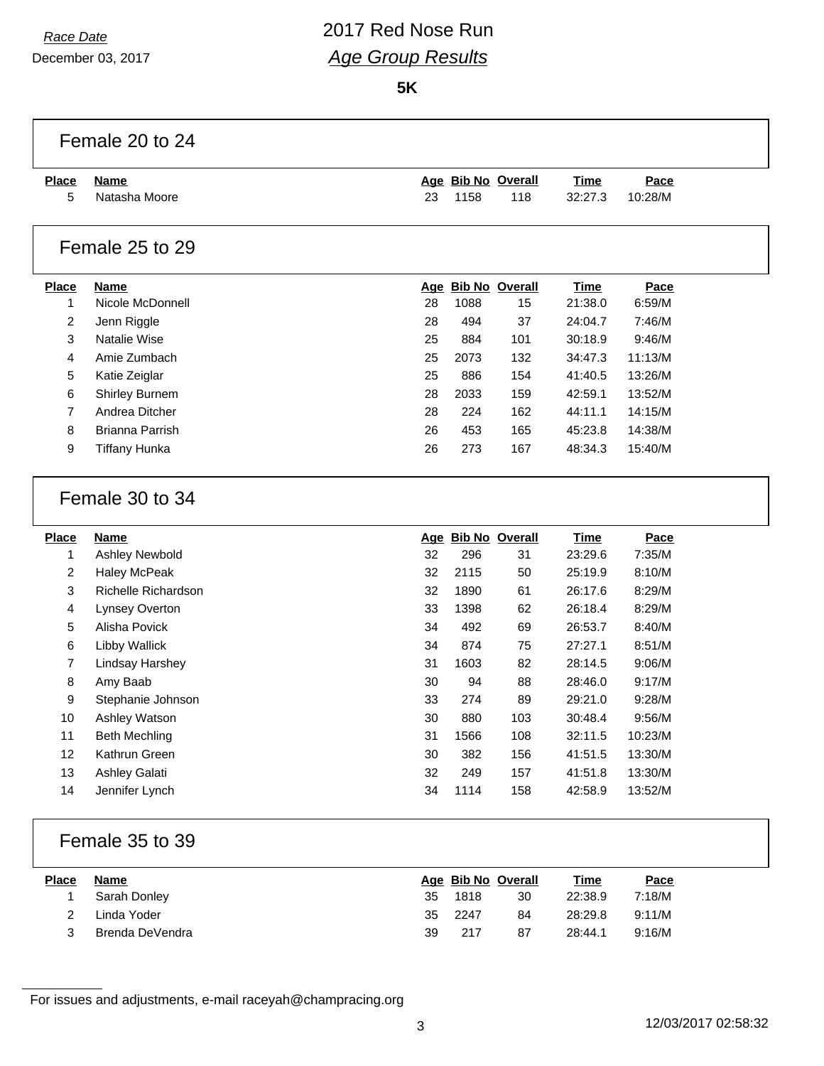# *Race Date* 2017 Red Nose Run *Age Group Results*

**5K**

|                         | Female 20 to 24        |    |      |                    |             |         |  |
|-------------------------|------------------------|----|------|--------------------|-------------|---------|--|
| <b>Place</b>            | <u>Name</u>            |    |      | Age Bib No Overall | <b>Time</b> | Pace    |  |
| 5                       | Natasha Moore          | 23 | 1158 | 118                | 32:27.3     | 10:28/M |  |
|                         | Female 25 to 29        |    |      |                    |             |         |  |
| <b>Place</b>            | <b>Name</b>            |    |      | Age Bib No Overall | <b>Time</b> | Pace    |  |
| $\mathbf{1}$            | Nicole McDonnell       | 28 | 1088 | 15                 | 21:38.0     | 6:59/M  |  |
| $\overline{c}$          | Jenn Riggle            | 28 | 494  | 37                 | 24:04.7     | 7:46/M  |  |
| $\mathbf{3}$            | Natalie Wise           | 25 | 884  | 101                | 30:18.9     | 9:46/M  |  |
| $\overline{4}$          | Amie Zumbach           | 25 | 2073 | 132                | 34:47.3     | 11:13/M |  |
| 5                       | Katie Zeiglar          | 25 | 886  | 154                | 41:40.5     | 13:26/M |  |
| 6                       | Shirley Burnem         | 28 | 2033 | 159                | 42:59.1     | 13:52/M |  |
| $\overline{7}$          | Andrea Ditcher         | 28 | 224  | 162                | 44:11.1     | 14:15/M |  |
| 8                       | <b>Brianna Parrish</b> | 26 | 453  | 165                | 45:23.8     | 14:38/M |  |
| 9                       | <b>Tiffany Hunka</b>   | 26 | 273  | 167                | 48:34.3     | 15:40/M |  |
|                         | Female 30 to 34        |    |      |                    |             |         |  |
| <b>Place</b>            | Name                   |    |      | Age Bib No Overall | <b>Time</b> | Pace    |  |
| $\mathbf{1}$            | Ashley Newbold         | 32 | 296  | 31                 | 23:29.6     | 7:35/M  |  |
| $\boldsymbol{2}$        | <b>Haley McPeak</b>    | 32 | 2115 | 50                 | 25:19.9     | 8:10/M  |  |
| $\mathfrak{S}$          | Richelle Richardson    | 32 | 1890 | 61                 | 26:17.6     | 8:29/M  |  |
| $\overline{\mathbf{4}}$ | Lynsey Overton         | 33 | 1398 | 62                 | 26:18.4     | 8:29/M  |  |
| 5                       | Alisha Povick          | 34 | 492  | 69                 | 26:53.7     | 8:40/M  |  |
| 6                       | <b>Libby Wallick</b>   | 34 | 874  | 75                 | 27:27.1     | 8:51/M  |  |
| $\boldsymbol{7}$        | Lindsay Harshey        | 31 | 1603 | 82                 | 28:14.5     | 9:06/M  |  |
| 8                       | Amy Baab               | 30 | 94   | 88                 | 28:46.0     | 9:17/M  |  |
| 9                       | Stephanie Johnson      | 33 | 274  | 89                 | 29:21.0     | 9:28/M  |  |
| 10                      | Ashley Watson          | 30 | 880  | 103                | 30:48.4     | 9:56/M  |  |
| 11                      | <b>Beth Mechling</b>   | 31 | 1566 | 108                | 32:11.5     | 10:23/M |  |
| 12                      | Kathrun Green          | 30 | 382  | 156                | 41:51.5     | 13:30/M |  |
| 13                      | Ashley Galati          | 32 | 249  | 157                | 41:51.8     | 13:30/M |  |
| 14                      | Jennifer Lynch         | 34 | 1114 | 158                | 42:58.9     | 13:52/M |  |
|                         |                        |    |      |                    |             |         |  |

### Female 35 to 39

| <b>Place</b> | Name            |    | Age Bib No Overall |    | <u>Time</u> | Pace   |
|--------------|-----------------|----|--------------------|----|-------------|--------|
|              | Sarah Donley    | 35 | 1818               | 30 | 22:38.9     | 7:18/M |
|              | Linda Yoder     | 35 | 2247               | 84 | 28:29.8     | 9:11/M |
| 2            | Brenda DeVendra | 39 | 217                | 87 | 28:44.1     | 9:16/M |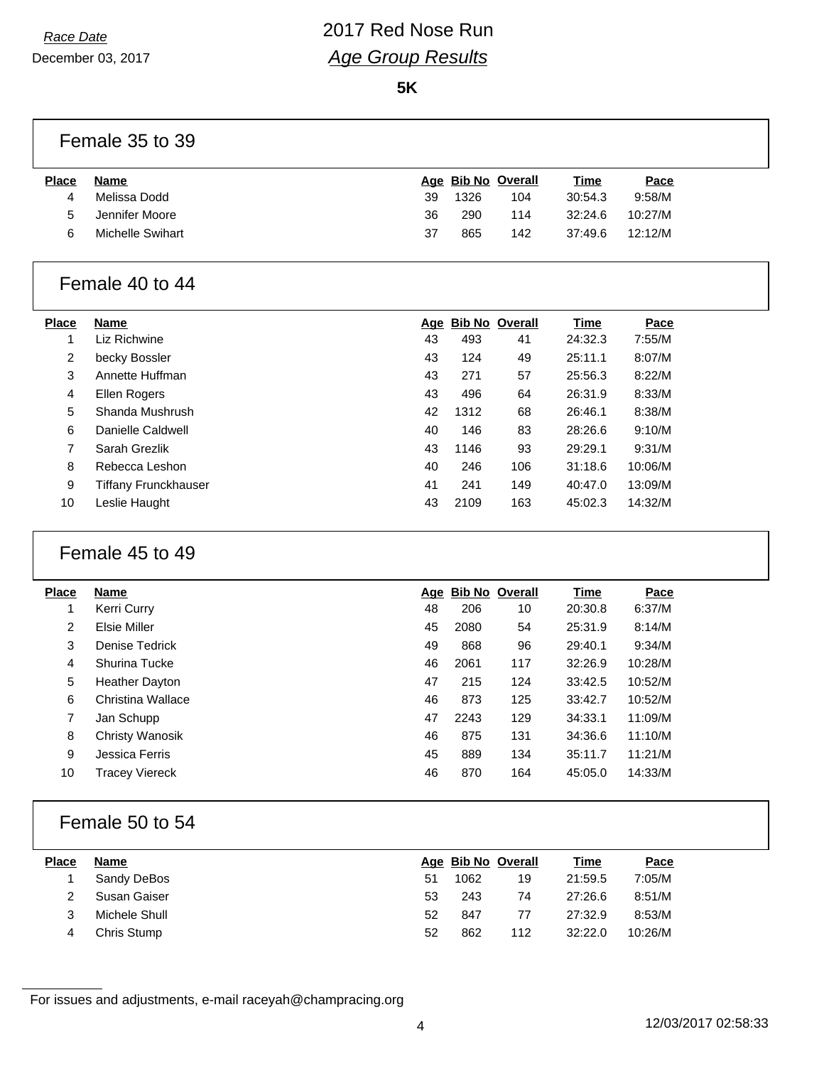## *Race Date* 2017 Red Nose Run *Age Group Results*

**5K**

#### Female 35 to 39

| <b>Place</b> | Name             |    | Age Bib No Overall |     | <u>Time</u> | <u>Pace</u> |
|--------------|------------------|----|--------------------|-----|-------------|-------------|
|              | Melissa Dodd     | 39 | 1326               | 104 | 30:54.3     | 9:58/M      |
| 5            | Jennifer Moore   | 36 | 290                | 114 | 32:24.6     | 10:27/M     |
| ิค           | Michelle Swihart | 37 | 865                | 142 | 37:49.6     | 12:12/M     |
|              |                  |    |                    |     |             |             |

#### Female 40 to 44

| <b>Place</b> | <b>Name</b>          | Age |      | <b>Bib No Overall</b> | Time    | Pace    |
|--------------|----------------------|-----|------|-----------------------|---------|---------|
| 1            | Liz Richwine         | 43  | 493  | 41                    | 24:32.3 | 7:55/M  |
| 2            | becky Bossler        | 43  | 124  | 49                    | 25:11.1 | 8:07/M  |
| 3            | Annette Huffman      | 43  | 271  | 57                    | 25:56.3 | 8:22/M  |
| 4            | Ellen Rogers         | 43  | 496  | 64                    | 26:31.9 | 8:33/M  |
| 5            | Shanda Mushrush      | 42  | 1312 | 68                    | 26:46.1 | 8:38/M  |
| 6            | Danielle Caldwell    | 40  | 146  | 83                    | 28:26.6 | 9:10/M  |
| 7            | Sarah Grezlik        | 43  | 1146 | 93                    | 29:29.1 | 9:31/M  |
| 8            | Rebecca Leshon       | 40  | 246  | 106                   | 31:18.6 | 10:06/M |
| 9            | Tiffany Frunckhauser | 41  | 241  | 149                   | 40:47.0 | 13:09/M |
| 10           | Leslie Haught        | 43  | 2109 | 163                   | 45:02.3 | 14:32/M |

### Female 45 to 49

| <b>Place</b>   | <b>Name</b>            |    | Age Bib No Overall |     | <b>Time</b> | Pace    |
|----------------|------------------------|----|--------------------|-----|-------------|---------|
|                | Kerri Curry            | 48 | 206                | 10  | 20:30.8     | 6:37/M  |
| $\overline{2}$ | Elsie Miller           | 45 | 2080               | 54  | 25:31.9     | 8:14/M  |
| 3              | Denise Tedrick         | 49 | 868                | 96  | 29:40.1     | 9:34/M  |
| 4              | Shurina Tucke          | 46 | 2061               | 117 | 32:26.9     | 10:28/M |
| 5              | <b>Heather Dayton</b>  | 47 | 215                | 124 | 33:42.5     | 10:52/M |
| 6              | Christina Wallace      | 46 | 873                | 125 | 33:42.7     | 10:52/M |
| 7              | Jan Schupp             | 47 | 2243               | 129 | 34:33.1     | 11:09/M |
| 8              | <b>Christy Wanosik</b> | 46 | 875                | 131 | 34:36.6     | 11:10/M |
| 9              | Jessica Ferris         | 45 | 889                | 134 | 35:11.7     | 11:21/M |
| 10             | <b>Tracey Viereck</b>  | 46 | 870                | 164 | 45:05.0     | 14:33/M |
|                |                        |    |                    |     |             |         |

#### Female 50 to 54

| <b>Place</b> | Name          |    |      | Age Bib No Overall | <u>Time</u> | Pace    |
|--------------|---------------|----|------|--------------------|-------------|---------|
|              | Sandy DeBos   | 51 | 1062 | 19                 | 21:59.5     | 7:05/M  |
|              | Susan Gaiser  | 53 | 243  | 74                 | 27:26.6     | 8:51/M  |
|              | Michele Shull | 52 | 847  | 77                 | 27:32.9     | 8:53/M  |
|              | Chris Stump   | 52 | 862  | 112                | 32:22.0     | 10:26/M |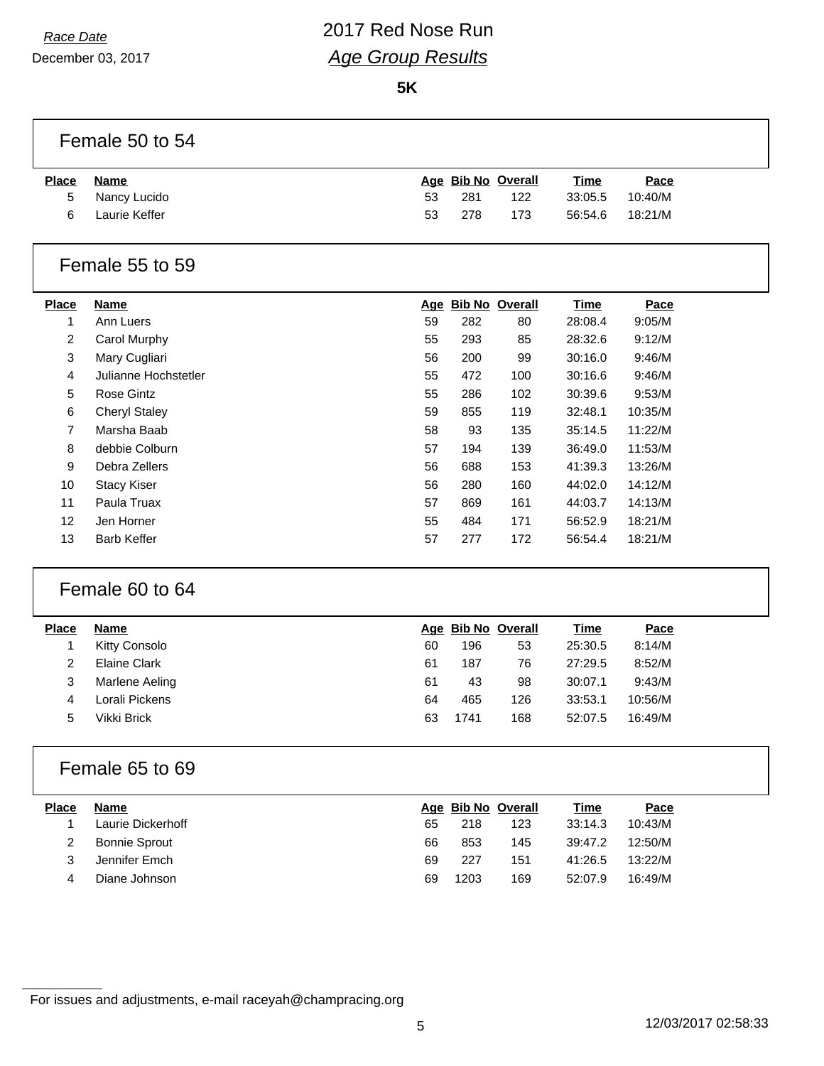## *Race Date* 2017 Red Nose Run *Age Group Results*

**5K**

#### Female 50 to 54

| <b>Place</b> | Name          |    | Age Bib No Overall |     | <u>Time</u> | Pace    |
|--------------|---------------|----|--------------------|-----|-------------|---------|
| 5            | Nancy Lucido  | 53 | 281                | 122 | 33:05.5     | 10:40/M |
| 6            | Laurie Keffer | 53 | 278                | 173 | 56:54.6     | 18:21/M |

### Female 55 to 59

| <b>Place</b>      | Name                 |    |     | Age Bib No Overall | Time    | Pace    |
|-------------------|----------------------|----|-----|--------------------|---------|---------|
| 1                 | Ann Luers            | 59 | 282 | 80                 | 28:08.4 | 9:05/M  |
| $\overline{2}$    | Carol Murphy         | 55 | 293 | 85                 | 28:32.6 | 9:12/M  |
| 3                 | Mary Cugliari        | 56 | 200 | 99                 | 30:16.0 | 9:46/M  |
| 4                 | Julianne Hochstetler | 55 | 472 | 100                | 30:16.6 | 9:46/M  |
| 5                 | Rose Gintz           | 55 | 286 | 102                | 30:39.6 | 9:53/M  |
| 6                 | <b>Cheryl Staley</b> | 59 | 855 | 119                | 32:48.1 | 10:35/M |
| 7                 | Marsha Baab          | 58 | 93  | 135                | 35:14.5 | 11:22/M |
| 8                 | debbie Colburn       | 57 | 194 | 139                | 36:49.0 | 11:53/M |
| 9                 | Debra Zellers        | 56 | 688 | 153                | 41:39.3 | 13:26/M |
| 10                | <b>Stacy Kiser</b>   | 56 | 280 | 160                | 44:02.0 | 14:12/M |
| 11                | Paula Truax          | 57 | 869 | 161                | 44:03.7 | 14:13/M |
| $12 \overline{ }$ | Jen Horner           | 55 | 484 | 171                | 56:52.9 | 18:21/M |
| 13                | <b>Barb Keffer</b>   | 57 | 277 | 172                | 56:54.4 | 18:21/M |

### Female 60 to 64

| Place | Name           |    |      | Age Bib No Overall | <u>Time</u> | <b>Pace</b> |  |
|-------|----------------|----|------|--------------------|-------------|-------------|--|
|       | Kitty Consolo  | 60 | 196  | 53                 | 25:30.5     | 8:14/M      |  |
|       | Elaine Clark   | 61 | 187  | 76                 | 27:29.5     | 8:52/M      |  |
| 3     | Marlene Aeling | 61 | 43   | 98                 | 30:07.1     | 9:43/M      |  |
| 4     | Lorali Pickens | 64 | 465  | 126                | 33:53.1     | 10:56/M     |  |
| 5     | Vikki Brick    | 63 | 1741 | 168                | 52:07.5     | 16:49/M     |  |
|       |                |    |      |                    |             |             |  |

### Female 65 to 69

| Place | Name                 |    |      | Age Bib No Overall | <u>Time</u> | Pace    |  |
|-------|----------------------|----|------|--------------------|-------------|---------|--|
|       | Laurie Dickerhoff    | 65 | 218  | 123                | 33:14.3     | 10:43/M |  |
|       | <b>Bonnie Sprout</b> | 66 | 853  | 145                | 39:47.2     | 12:50/M |  |
|       | Jennifer Emch        | 69 | 227  | 151                | 41:26.5     | 13:22/M |  |
| 4     | Diane Johnson        | 69 | 1203 | 169                | 52:07.9     | 16:49/M |  |
|       |                      |    |      |                    |             |         |  |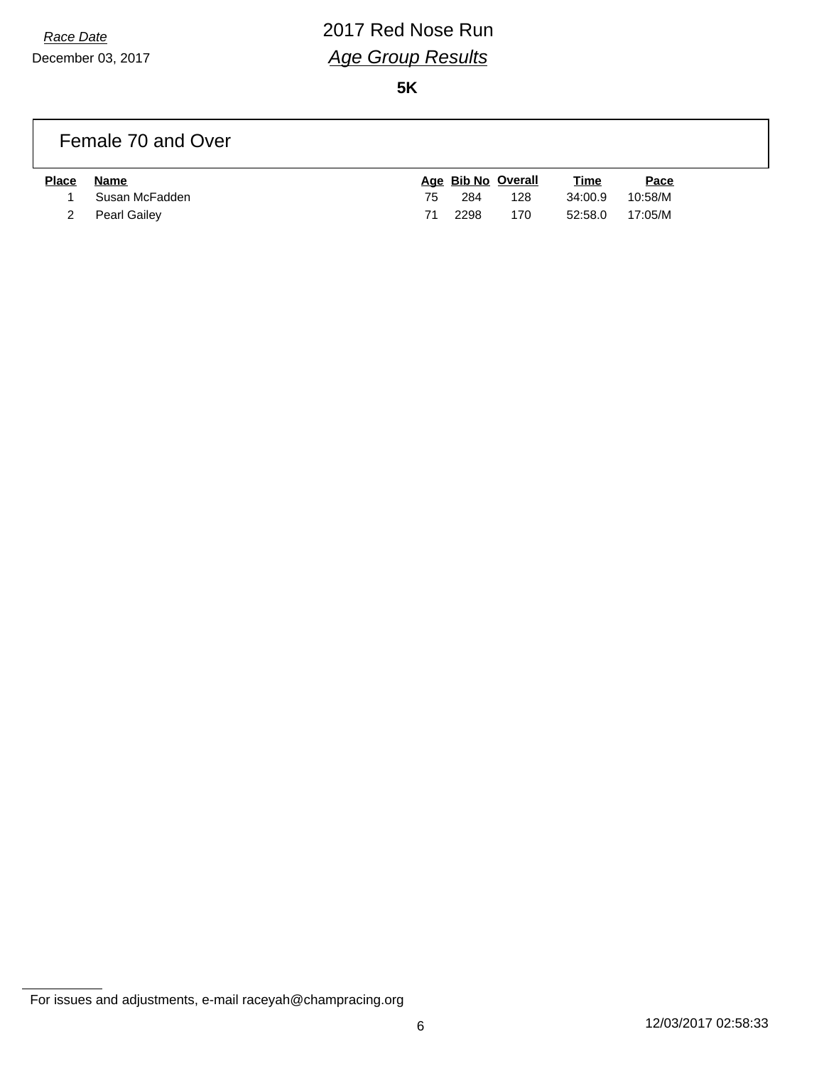# *Race Date* 2017 Red Nose Run *Age Group Results*

**5K**

#### Female 70 and Over

| <b>Place</b> | Name             |     |        | Age Bib No Overall | <u>Time</u>     | <u>Pace</u> |
|--------------|------------------|-----|--------|--------------------|-----------------|-------------|
|              | 1 Susan McFadden | 75. | -284   | 128                | 34:00.9         | 10:58/M     |
|              | 2 Pearl Gailey   | 71  | - 2298 | 170                | 52:58.0 17:05/M |             |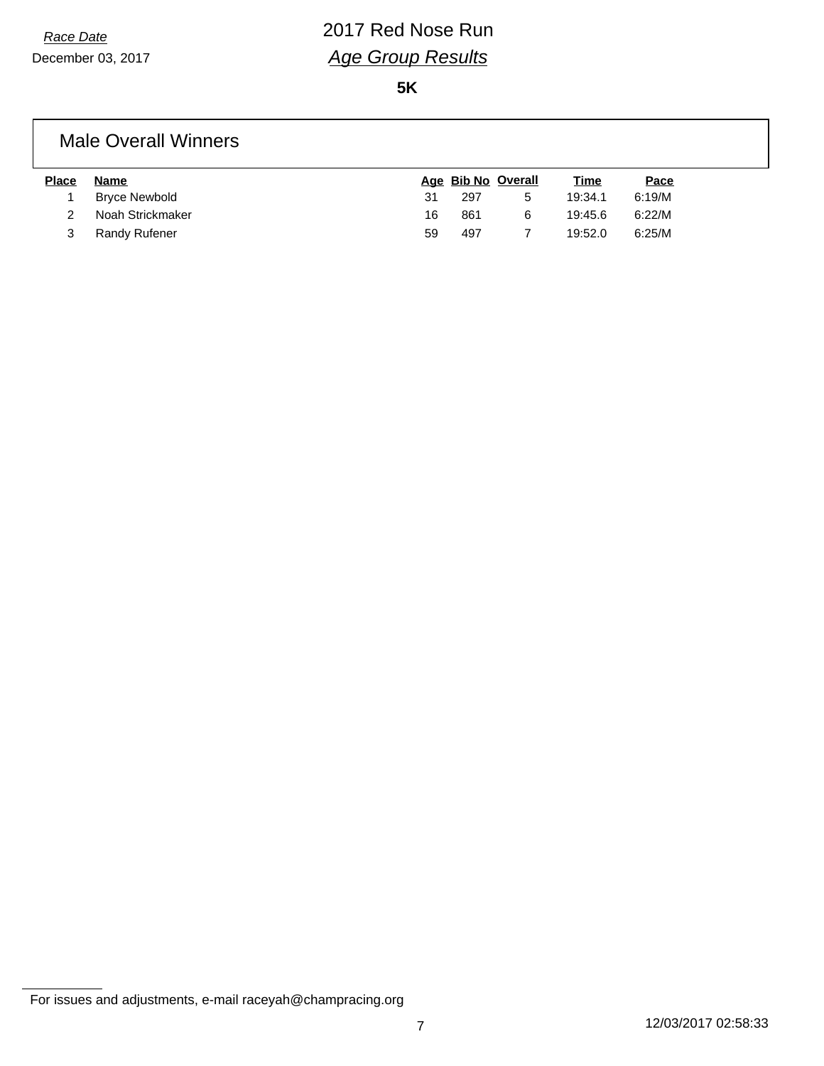**5K**

#### Male Overall Winners

| <b>Place</b> | Name                 |    | Age Bib No Overall |   | <u>Time</u> | Pace   |
|--------------|----------------------|----|--------------------|---|-------------|--------|
|              | <b>Bryce Newbold</b> | 31 | 297                | 5 | 19:34.1     | 6:19/M |
|              | Noah Strickmaker     | 16 | 861                | 6 | 19:45.6     | 6:22/M |
|              | Randy Rufener        | 59 | 497                |   | 19:52.0     | 6:25/M |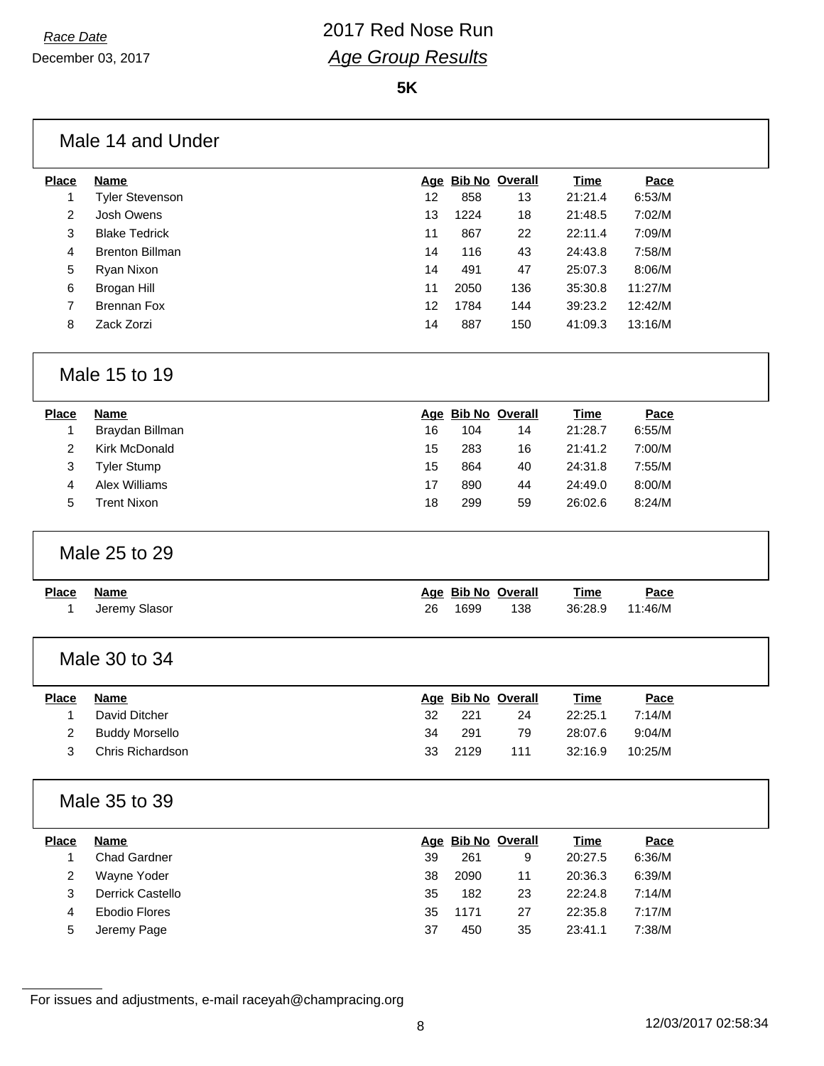**5K**

#### Male 14 and Under

| Place | Name                   |    |      | Age Bib No Overall | <b>Time</b> | Pace    |
|-------|------------------------|----|------|--------------------|-------------|---------|
|       | <b>Tyler Stevenson</b> | 12 | 858  | 13                 | 21:21.4     | 6:53/M  |
| 2     | Josh Owens             | 13 | 1224 | 18                 | 21:48.5     | 7:02/M  |
| 3     | <b>Blake Tedrick</b>   | 11 | 867  | 22                 | 22:11.4     | 7:09/M  |
| 4     | <b>Brenton Billman</b> | 14 | 116  | 43                 | 24:43.8     | 7:58/M  |
| 5     | Ryan Nixon             | 14 | 491  | 47                 | 25:07.3     | 8:06/M  |
| 6     | Brogan Hill            | 11 | 2050 | 136                | 35:30.8     | 11:27/M |
| 7     | Brennan Fox            | 12 | 1784 | 144                | 39:23.2     | 12:42/M |
| 8     | Zack Zorzi             | 14 | 887  | 150                | 41:09.3     | 13:16/M |
|       |                        |    |      |                    |             |         |

#### Male 15 to 19

| <b>Place</b> | <b>Name</b>     |    | Age Bib No Overall |    | Time    | Pace   |
|--------------|-----------------|----|--------------------|----|---------|--------|
|              | Braydan Billman | 16 | 104                | 14 | 21:28.7 | 6:55/M |
|              | Kirk McDonald   | 15 | 283                | 16 | 21:41.2 | 7:00/M |
| 3            | Tyler Stump     | 15 | 864                | 40 | 24:31.8 | 7:55/M |
| 4            | Alex Williams   | 17 | 890                | 44 | 24:49.0 | 8:00/M |
| 5            | Trent Nixon     | 18 | 299                | 59 | 26:02.6 | 8:24/M |

#### Male 25 to 29

| <u>Place</u> | Name          |    |      | Age Bib No Overall | Time    | <u>Pace</u> |
|--------------|---------------|----|------|--------------------|---------|-------------|
|              | Jeremy Slasor | 26 | 1699 | 138                | 36:28.9 | 11:46/M     |

#### Male 30 to 34

| <b>Place</b> | Name             |    | Age Bib No Overall |     | Time    | Pace    |
|--------------|------------------|----|--------------------|-----|---------|---------|
|              | David Ditcher    | 32 | 221                | 24  | 22:25.1 | 7:14/M  |
|              | 2 Buddy Morsello | 34 | 291                | 79  | 28:07.6 | 9:04/M  |
|              | Chris Richardson |    | 33 2129            | 111 | 32:16.9 | 10:25/M |

#### Male 35 to 39

| <b>Place</b> | <b>Name</b>         |    | Age Bib No Overall |    | <u>Time</u> | <b>Pace</b> |
|--------------|---------------------|----|--------------------|----|-------------|-------------|
|              | <b>Chad Gardner</b> | 39 | 261                | 9  | 20:27.5     | 6:36/M      |
|              | Wayne Yoder         | 38 | 2090               | 11 | 20:36.3     | 6:39/M      |
|              | Derrick Castello    | 35 | 182                | 23 | 22:24.8     | 7:14/M      |
| 4            | Ebodio Flores       | 35 | 1171               | 27 | 22:35.8     | 7:17/M      |
| 5            | Jeremy Page         | 37 | 450                | 35 | 23:41.1     | 7:38/M      |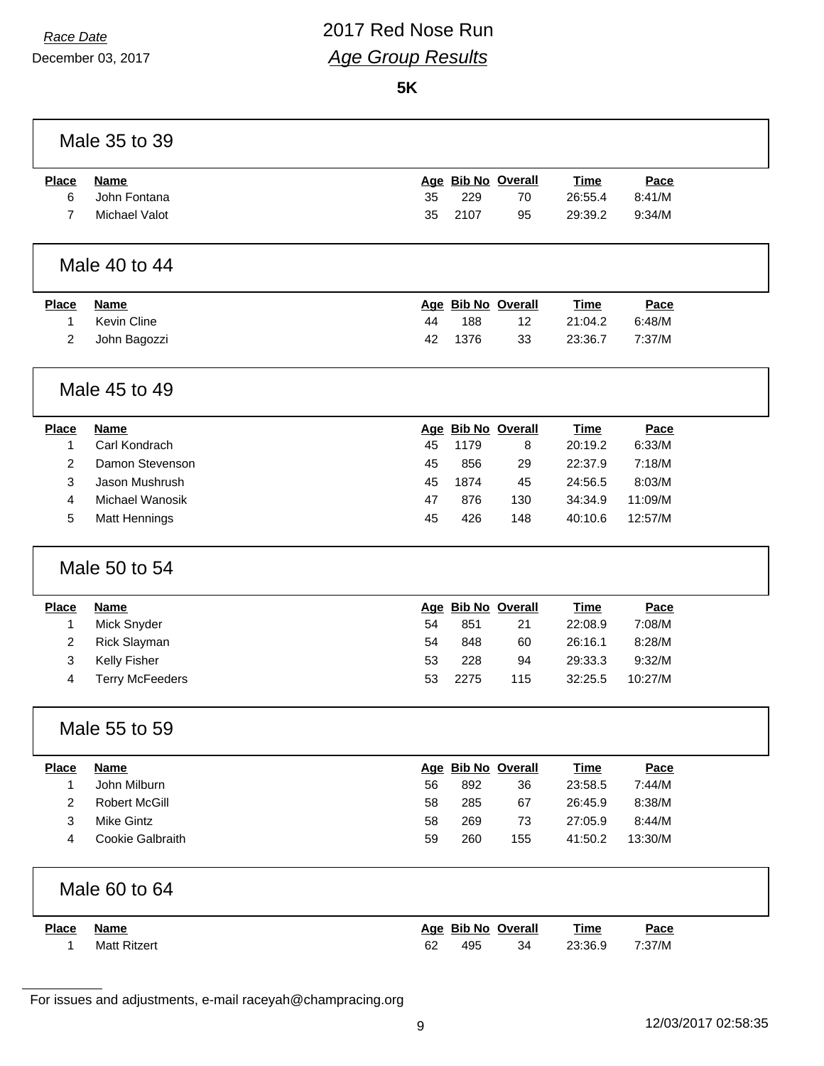## *Race Date* 2017 Red Nose Run *Age Group Results*

**5K**

|                | Male 35 to 39          |    |      |                    |             |         |  |
|----------------|------------------------|----|------|--------------------|-------------|---------|--|
| <b>Place</b>   | <b>Name</b>            |    |      | Age Bib No Overall | <b>Time</b> | Pace    |  |
| 6              | John Fontana           | 35 | 229  | 70                 | 26:55.4     | 8:41/M  |  |
| $\overline{7}$ | Michael Valot          | 35 | 2107 | 95                 | 29:39.2     | 9:34/M  |  |
|                | Male 40 to 44          |    |      |                    |             |         |  |
| <b>Place</b>   | <b>Name</b>            |    |      | Age Bib No Overall | <b>Time</b> | Pace    |  |
| 1              | Kevin Cline            | 44 | 188  | 12                 | 21:04.2     | 6:48/M  |  |
| 2              | John Bagozzi           | 42 | 1376 | 33                 | 23:36.7     | 7:37/M  |  |
|                | Male 45 to 49          |    |      |                    |             |         |  |
| <b>Place</b>   | <b>Name</b>            |    |      | Age Bib No Overall | <b>Time</b> | Pace    |  |
| 1              | Carl Kondrach          | 45 | 1179 | 8                  | 20:19.2     | 6:33/M  |  |
| $\overline{c}$ | Damon Stevenson        | 45 | 856  | 29                 | 22:37.9     | 7:18/M  |  |
| 3              | Jason Mushrush         | 45 | 1874 | 45                 | 24:56.5     | 8:03/M  |  |
| 4              | Michael Wanosik        | 47 | 876  | 130                | 34:34.9     | 11:09/M |  |
| 5              | Matt Hennings          | 45 | 426  | 148                | 40:10.6     | 12:57/M |  |
|                | Male 50 to 54          |    |      |                    |             |         |  |
| <b>Place</b>   | <b>Name</b>            |    |      | Age Bib No Overall | <b>Time</b> | Pace    |  |
| 1              | Mick Snyder            | 54 | 851  | 21                 | 22:08.9     | 7:08/M  |  |
| $\overline{c}$ | Rick Slayman           | 54 | 848  | 60                 | 26:16.1     | 8:28/M  |  |
| 3              | Kelly Fisher           | 53 | 228  | 94                 | 29:33.3     | 9:32/M  |  |
| 4              | <b>Terry McFeeders</b> | 53 | 2275 | 115                | 32:25.5     | 10:27/M |  |
|                | Male 55 to 59          |    |      |                    |             |         |  |
| <b>Place</b>   | <b>Name</b>            |    |      | Age Bib No Overall | <b>Time</b> | Pace    |  |
| 1              | John Milburn           | 56 | 892  | 36                 | 23:58.5     | 7:44/M  |  |
| 2              | <b>Robert McGill</b>   | 58 | 285  | 67                 | 26:45.9     | 8:38/M  |  |
| 3              | <b>Mike Gintz</b>      | 58 | 269  | 73                 | 27:05.9     | 8:44/M  |  |
| 4              | Cookie Galbraith       | 59 | 260  | 155                | 41:50.2     | 13:30/M |  |
|                | Male 60 to 64          |    |      |                    |             |         |  |
| <b>Place</b>   | <b>Name</b>            |    |      | Age Bib No Overall | <b>Time</b> | Pace    |  |
| 1              | <b>Matt Ritzert</b>    | 62 | 495  | 34                 | 23:36.9     | 7:37/M  |  |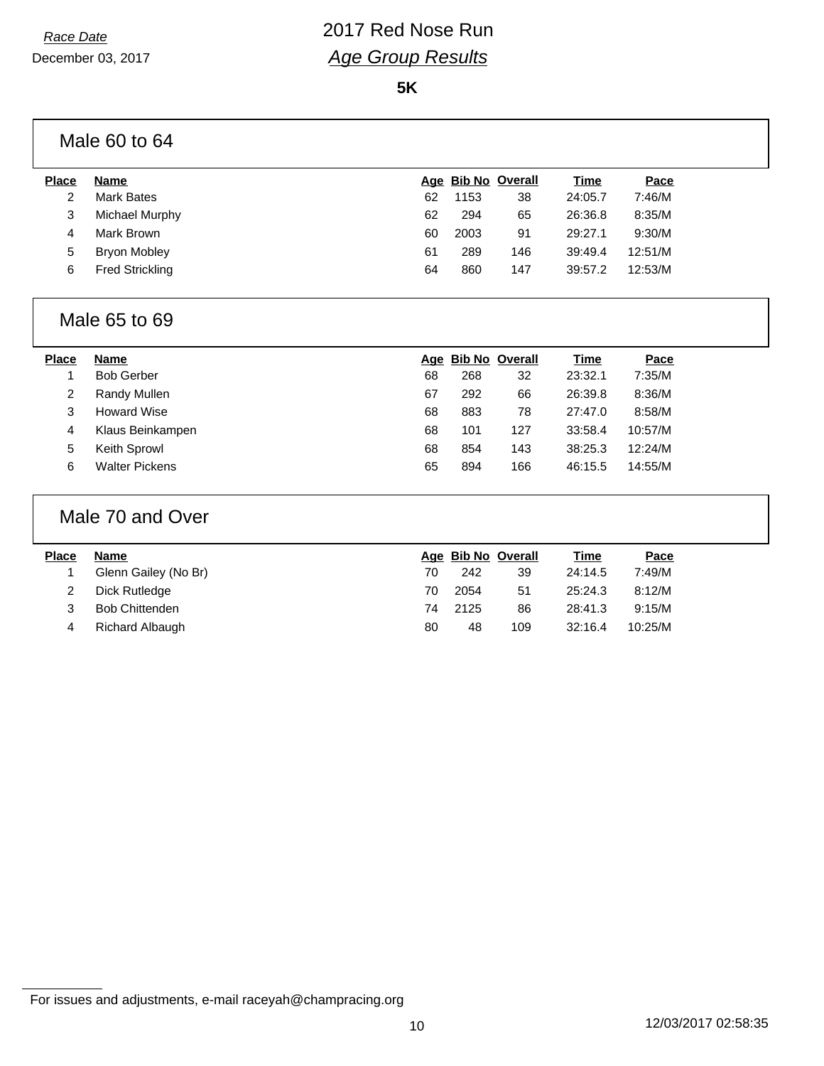**5K**

|              | Male 60 to 64          |    |      |                    |             |         |  |
|--------------|------------------------|----|------|--------------------|-------------|---------|--|
| <b>Place</b> | <b>Name</b>            |    |      | Age Bib No Overall | <b>Time</b> | Pace    |  |
| 2            | <b>Mark Bates</b>      | 62 | 1153 | 38                 | 24:05.7     | 7:46/M  |  |
| 3            | Michael Murphy         | 62 | 294  | 65                 | 26:36.8     | 8:35/M  |  |
| 4            | Mark Brown             | 60 | 2003 | 91                 | 29:27.1     | 9:30/M  |  |
| 5            | <b>Bryon Mobley</b>    | 61 | 289  | 146                | 39:49.4     | 12:51/M |  |
| 6            | <b>Fred Strickling</b> | 64 | 860  | 147                | 39:57.2     | 12:53/M |  |

#### Male 65 to 69

#### Male 70 and Over

| <b>Place</b> | Name                  |    | Age Bib No Overall |     | <u>Time</u> | Pace    |
|--------------|-----------------------|----|--------------------|-----|-------------|---------|
|              | Glenn Gailey (No Br)  | 70 | 242                | 39  | 24:14.5     | 7:49/M  |
|              | Dick Rutledge         | 70 | 2054               | 51  | 25:24.3     | 8:12/M  |
|              | <b>Bob Chittenden</b> | 74 | 2125               | 86  | 28:41.3     | 9:15/M  |
| 4            | Richard Albaugh       | 80 | 48                 | 109 | 32:16.4     | 10:25/M |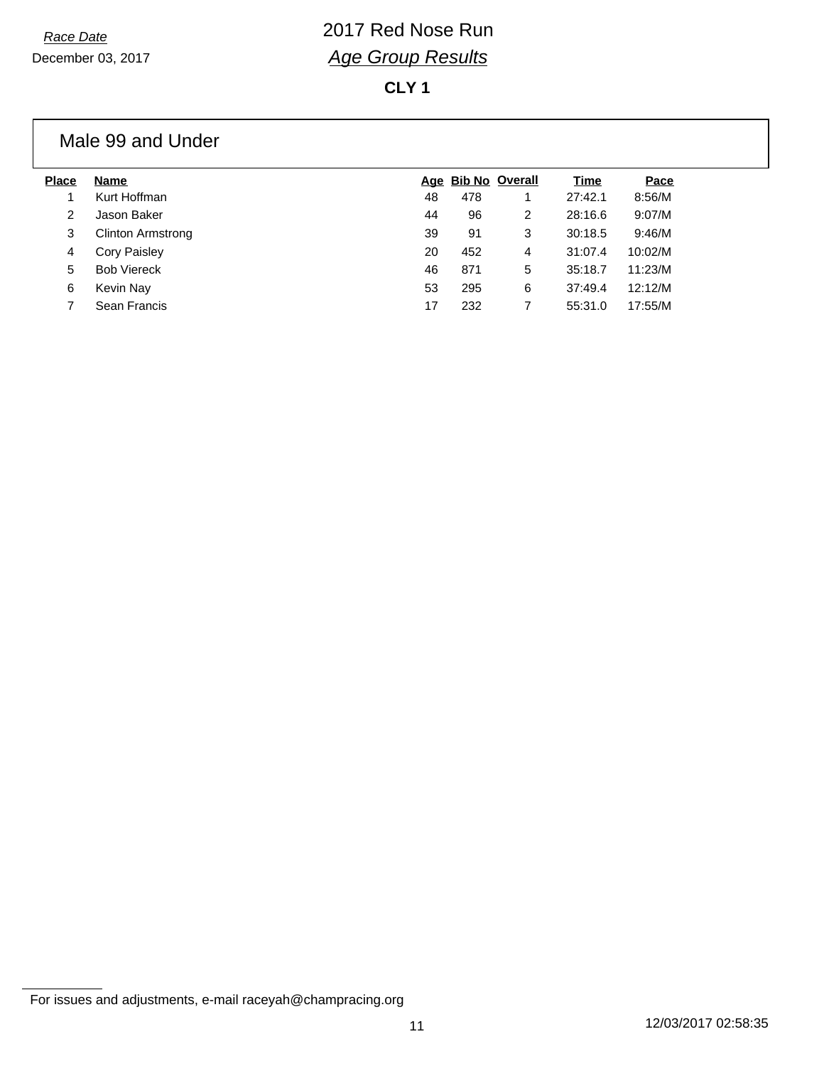**CLY 1**

#### Male 99 and Under

| <b>Place</b> | Name                     |    | Age Bib No Overall |   | Time    | Pace    |
|--------------|--------------------------|----|--------------------|---|---------|---------|
|              | Kurt Hoffman             | 48 | 478                |   | 27:42.1 | 8:56/M  |
| 2            | Jason Baker              | 44 | 96                 | 2 | 28:16.6 | 9:07/M  |
| 3            | <b>Clinton Armstrong</b> | 39 | 91                 | 3 | 30:18.5 | 9:46/M  |
| 4            | <b>Cory Paisley</b>      | 20 | 452                | 4 | 31:07.4 | 10:02/M |
| 5            | <b>Bob Viereck</b>       | 46 | 871                | 5 | 35:18.7 | 11:23/M |
| 6            | Kevin Nay                | 53 | 295                | 6 | 37:49.4 | 12:12/M |
|              | Sean Francis             | 17 | 232                |   | 55:31.0 | 17:55/M |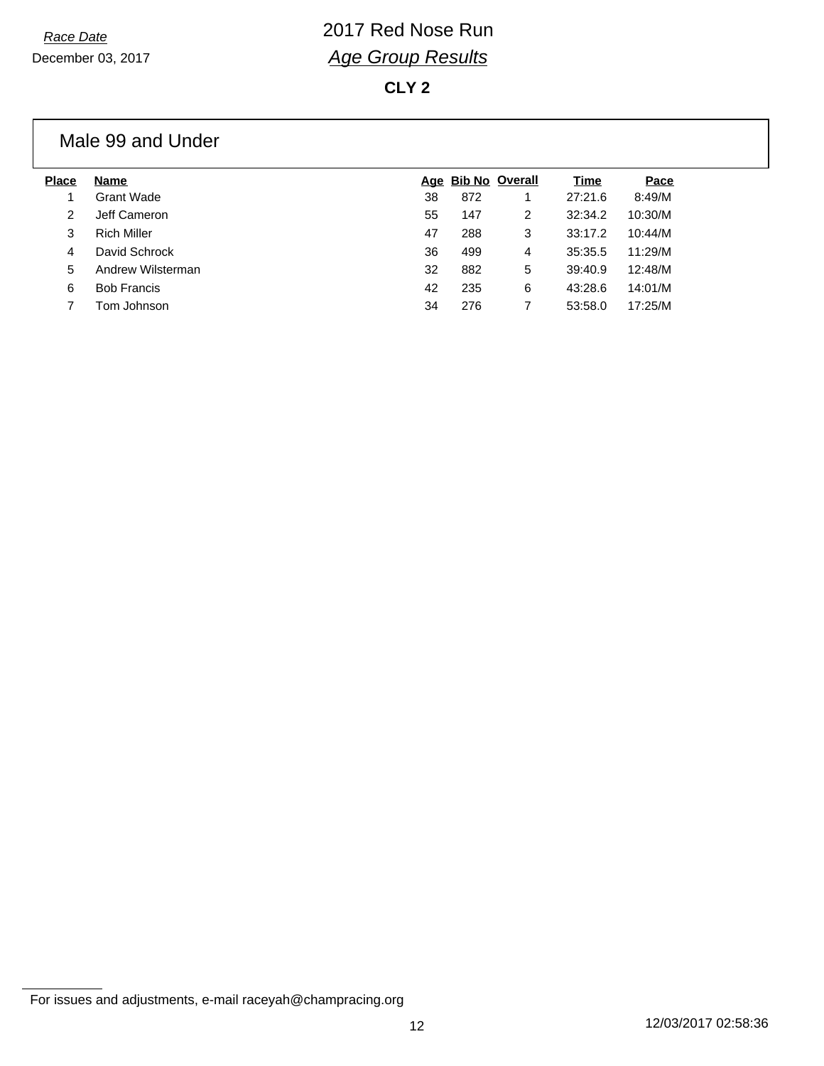#### **CLY 2**

#### Male 99 and Under

| Name               |    |     |   | Time               | Pace    |
|--------------------|----|-----|---|--------------------|---------|
| Grant Wade         | 38 | 872 |   | 27:21.6            | 8:49/M  |
| Jeff Cameron       | 55 | 147 | 2 | 32:34.2            | 10:30/M |
| <b>Rich Miller</b> | 47 | 288 | 3 | 33:17.2            | 10:44/M |
| David Schrock      | 36 | 499 | 4 | 35:35.5            | 11:29/M |
| Andrew Wilsterman  | 32 | 882 | 5 | 39:40.9            | 12:48/M |
| <b>Bob Francis</b> | 42 | 235 | 6 | 43:28.6            | 14:01/M |
| Tom Johnson        | 34 | 276 |   | 53:58.0            | 17:25/M |
|                    |    |     |   | Age Bib No Overall |         |